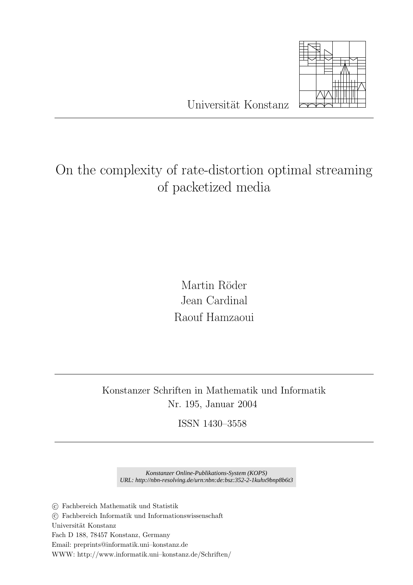

Universität Konstanz

# On the complexity of rate-distortion optimal streaming of packetized media

Martin Röder Jean Cardinal Raouf Hamzaoui

Konstanzer Schriften in Mathematik und Informatik Nr. 195, Januar 2004

ISSN 1430–3558

*Konstanzer Online-Publikations-System (KOPS) URL: http://nbn-resolving.de/urn:nbn:de:bsz:352-2-1kuhx9bnp8b6t3*

°c Fachbereich Mathematik und Statistik

°c Fachbereich Informatik und Informationswissenschaft

Universität Konstanz

Fach D 188, 78457 Konstanz, Germany

Email: preprints@informatik.uni–konstanz.de

WWW: http://www.informatik.uni–konstanz.de/Schriften/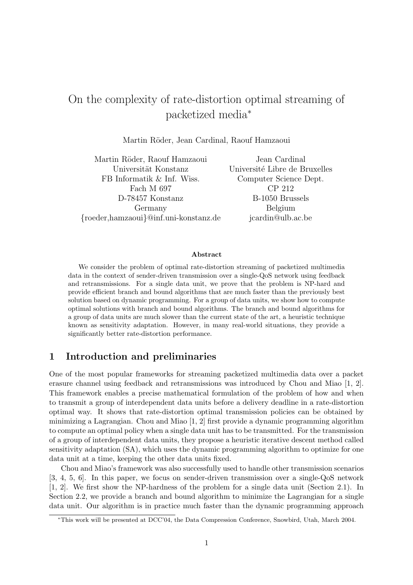# On the complexity of rate-distortion optimal streaming of packetized media<sup>∗</sup>

Martin Röder, Jean Cardinal, Raouf Hamzaoui

Martin R¨oder, Raouf Hamzaoui Jean Cardinal Universität Konstanz Université Libre de Bruxelles FB Informatik & Inf. Wiss. Computer Science Dept. Fach M 697 CP 212 D-78457 Konstanz B-1050 Brussels Germany Belgium {roeder,hamzaoui}@inf.uni-konstanz.de jcardin@ulb.ac.be

#### Abstract

We consider the problem of optimal rate-distortion streaming of packetized multimedia data in the context of sender-driven transmission over a single-QoS network using feedback and retransmissions. For a single data unit, we prove that the problem is NP-hard and provide efficient branch and bound algorithms that are much faster than the previously best solution based on dynamic programming. For a group of data units, we show how to compute optimal solutions with branch and bound algorithms. The branch and bound algorithms for a group of data units are much slower than the current state of the art, a heuristic technique known as sensitivity adaptation. However, in many real-world situations, they provide a significantly better rate-distortion performance.

# 1 Introduction and preliminaries

One of the most popular frameworks for streaming packetized multimedia data over a packet erasure channel using feedback and retransmissions was introduced by Chou and Miao [1, 2]. This framework enables a precise mathematical formulation of the problem of how and when to transmit a group of interdependent data units before a delivery deadline in a rate-distortion optimal way. It shows that rate-distortion optimal transmission policies can be obtained by minimizing a Lagrangian. Chou and Miao [1, 2] first provide a dynamic programming algorithm to compute an optimal policy when a single data unit has to be transmitted. For the transmission of a group of interdependent data units, they propose a heuristic iterative descent method called sensitivity adaptation (SA), which uses the dynamic programming algorithm to optimize for one data unit at a time, keeping the other data units fixed.

Chou and Miao's framework was also successfully used to handle other transmission scenarios [3, 4, 5, 6]. In this paper, we focus on sender-driven transmission over a single-QoS network [1, 2]. We first show the NP-hardness of the problem for a single data unit (Section 2.1). In Section 2.2, we provide a branch and bound algorithm to minimize the Lagrangian for a single data unit. Our algorithm is in practice much faster than the dynamic programming approach

<sup>∗</sup>This work will be presented at DCC'04, the Data Compression Conference, Snowbird, Utah, March 2004.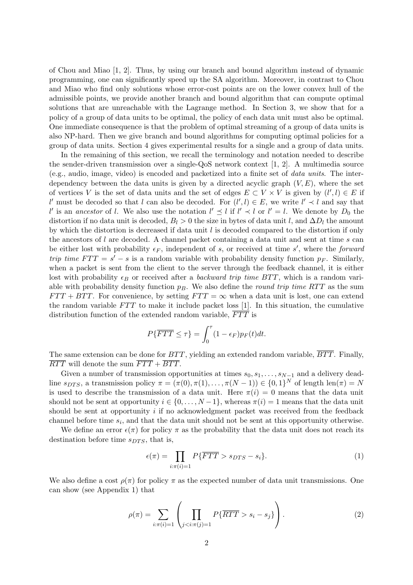of Chou and Miao [1, 2]. Thus, by using our branch and bound algorithm instead of dynamic programming, one can significantly speed up the SA algorithm. Moreover, in contrast to Chou and Miao who find only solutions whose error-cost points are on the lower convex hull of the admissible points, we provide another branch and bound algorithm that can compute optimal solutions that are unreachable with the Lagrange method. In Section 3, we show that for a policy of a group of data units to be optimal, the policy of each data unit must also be optimal. One immediate consequence is that the problem of optimal streaming of a group of data units is also NP-hard. Then we give branch and bound algorithms for computing optimal policies for a group of data units. Section 4 gives experimental results for a single and a group of data units.

In the remaining of this section, we recall the terminology and notation needed to describe the sender-driven transmission over a single-QoS network context [1, 2]. A multimedia source (e.g., audio, image, video) is encoded and packetized into a finite set of data units. The interdependency between the data units is given by a directed acyclic graph  $(V, E)$ , where the set of vertices V is the set of data units and the set of edges  $E \subset V \times V$  is given by  $(l', l) \in E$  if l' must be decoded so that l can also be decoded. For  $(l', l) \in E$ , we write  $l' \prec l$  and say that l' is an ancestor of l. We also use the notation  $l' \preceq l$  if  $l' \prec l$  or  $l' = l$ . We denote by  $D_0$  the distortion if no data unit is decoded,  $B_l > 0$  the size in bytes of data unit l, and  $\Delta D_l$  the amount by which the distortion is decreased if data unit  $l$  is decoded compared to the distortion if only the ancestors of l are decoded. A channel packet containing a data unit and sent at time s can be either lost with probability  $\epsilon_F$ , independent of s, or received at time s', where the forward trip time  $FTT = s' - s$  is a random variable with probability density function  $p_F$ . Similarly, when a packet is sent from the client to the server through the feedback channel, it is either lost with probability  $\epsilon_B$  or received after a backward trip time BTT, which is a random variable with probability density function  $p_B$ . We also define the *round trip time RTT* as the sum  $FTT + BTT$ . For convenience, by setting  $FTT = \infty$  when a data unit is lost, one can extend the random variable  $FTT$  to make it include packet loss [1]. In this situation, the cumulative distribution function of the extended random variable,  $\overline{FT}$  is

$$
P\{\overline{FTT} \leq \tau\} = \int_0^{\tau} (1 - \epsilon_F) p_F(t) dt.
$$

The same extension can be done for  $BTT$ , yielding an extended random variable,  $\overline{BTT}$ . Finally,  $\overline{RTT}$  will denote the sum  $\overline{FTT}$  +  $\overline{BTT}$ .

Given a number of transmission opportunities at times  $s_0, s_1, \ldots, s_{N-1}$  and a delivery deadline  $s_{DTS}$ , a transmission policy  $\pi = (\pi(0), \pi(1), \ldots, \pi(N-1)) \in \{0,1\}^N$  of length len $(\pi) = N$ is used to describe the transmission of a data unit. Here  $\pi(i) = 0$  means that the data unit should not be sent at opportunity  $i \in \{0, \ldots, N-1\}$ , whereas  $\pi(i) = 1$  means that the data unit should be sent at opportunity i if no acknowledgment packet was received from the feedback channel before time  $s_i$ , and that the data unit should not be sent at this opportunity otherwise.

We define an error  $\epsilon(\pi)$  for policy  $\pi$  as the probability that the data unit does not reach its destination before time  $s_{DTS}$ , that is,

$$
\epsilon(\pi) = \prod_{i:\pi(i)=1} P\{\overline{FTT} > s_{DTS} - s_i\}.
$$
\n(1)

We also define a cost  $\rho(\pi)$  for policy  $\pi$  as the expected number of data unit transmissions. One can show (see Appendix 1) that

$$
\rho(\pi) = \sum_{i:\pi(i)=1} \left( \prod_{j s_i - s_j\} \right).
$$
\n(2)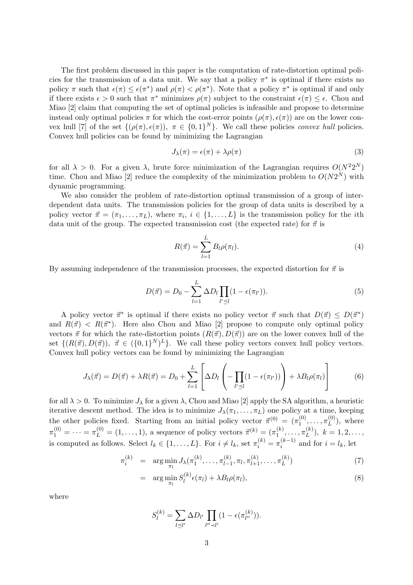The first problem discussed in this paper is the computation of rate-distortion optimal policies for the transmission of a data unit. We say that a policy  $\pi^*$  is optimal if there exists no policy  $\pi$  such that  $\epsilon(\pi) \leq \epsilon(\pi^*)$  and  $\rho(\pi) < \rho(\pi^*)$ . Note that a policy  $\pi^*$  is optimal if and only if there exists  $\epsilon > 0$  such that  $\pi^*$  minimizes  $\rho(\pi)$  subject to the constraint  $\epsilon(\pi) \leq \epsilon$ . Chou and Miao [2] claim that computing the set of optimal policies is infeasible and propose to determine instead only optimal policies  $\pi$  for which the cost-error points  $(\rho(\pi), \epsilon(\pi))$  are on the lower convex hull [7] of the set  $\{(\rho(\pi), \epsilon(\pi)), \pi \in \{0,1\}^N\}$ . We call these policies *convex hull* policies. Convex hull policies can be found by minimizing the Lagrangian

$$
J_{\lambda}(\pi) = \epsilon(\pi) + \lambda \rho(\pi) \tag{3}
$$

for all  $\lambda > 0$ . For a given  $\lambda$ , brute force minimization of the Lagrangian requires  $O(N^2 2^N)$ time. Chou and Miao [2] reduce the complexity of the minimization problem to  $O(N2^N)$  with dynamic programming.

We also consider the problem of rate-distortion optimal transmission of a group of interdependent data units. The transmission policies for the group of data units is described by a policy vector  $\vec{\pi} = (\pi_1, \ldots, \pi_L)$ , where  $\pi_i, i \in \{1, \ldots, L\}$  is the transmission policy for the *i*th data unit of the group. The expected transmission cost (the expected rate) for  $\vec{\pi}$  is

$$
R(\vec{\pi}) = \sum_{l=1}^{L} B_l \rho(\pi_l). \tag{4}
$$

By assuming independence of the transmission processes, the expected distortion for  $\vec{\pi}$  is

$$
D(\vec{\pi}) = D_0 - \sum_{l=1}^{L} \Delta D_l \prod_{l' \preceq l} (1 - \epsilon(\pi_{l'})). \tag{5}
$$

A policy vector  $\vec{\pi}^*$  is optimal if there exists no policy vector  $\vec{\pi}$  such that  $D(\vec{\pi}) \leq D(\vec{\pi}^*)$ and  $R(\vec{\pi}) < R(\vec{\pi}^*)$ . Here also Chou and Miao [2] propose to compute only optimal policy vectors  $\vec{\pi}$  for which the rate-distortion points  $(R(\vec{\pi}), D(\vec{\pi}))$  are on the lower convex hull of the set  $\{(R(\vec{\pi}), D(\vec{\pi})), \ \vec{\pi} \in (\{0,1\}^N)^L\}$ . We call these policy vectors convex hull policy vectors. Convex hull policy vectors can be found by minimizing the Lagrangian

$$
J_{\lambda}(\vec{\pi}) = D(\vec{\pi}) + \lambda R(\vec{\pi}) = D_0 + \sum_{l=1}^{L} \left[ \Delta D_l \left( -\prod_{l' \preceq l} (1 - \epsilon(\pi_{l'})) \right) + \lambda B_l \rho(\pi_l) \right] \tag{6}
$$

for all  $\lambda > 0$ . To minimize  $J_{\lambda}$  for a given  $\lambda$ , Chou and Miao [2] apply the SA algorithm, a heuristic iterative descent method. The idea is to minimize  $J_{\lambda}(\pi_1, \ldots, \pi_L)$  one policy at a time, keeping the other policies fixed. Starting from an initial policy vector  $\vec{\pi}^{(0)} = (\pi_1^{(0)})$  $\overset{(0)}{1},\ldots,\overset{(0)}{\pi_L^{(0)}}$  $L^{(0)}$ , where  $\pi_1^{(0)} = \cdots = \pi_L^{(0)} = (1, \ldots, 1)$ , a sequence of policy vectors  $\vec{\pi}^{(k)} = (\pi_1^{(k)})$  $\binom{(k)}{1},\ldots,\pi_L^{(k)}$  $\binom{k}{L},\ k=1,2,\ldots,$ is computed as follows. Select  $l_k \in \{1, ..., L\}$ . For  $i \neq l_k$ , set  $\pi_i^{(k)} = \pi_i^{(k-1)}$  $i^{(k-1)}$  and for  $i = l_k$ , let

$$
\pi_i^{(k)} = \arg \min_{\pi_l} J_{\lambda}(\pi_1^{(k)}, \dots, \pi_{l-1}^{(k)}, \pi_l, \pi_{l+1}^{(k)}, \dots, \pi_L^{(k)})
$$
\n(7)

$$
= \arg\min_{\pi_l} S_l^{(k)} \epsilon(\pi_l) + \lambda B_l \rho(\pi_l), \tag{8}
$$

where

$$
S_l^{(k)} = \sum_{l \leq l'} \Delta D_{l'} \prod_{l'' \prec l'} (1 - \epsilon(\pi_{l''}^{(k)})).
$$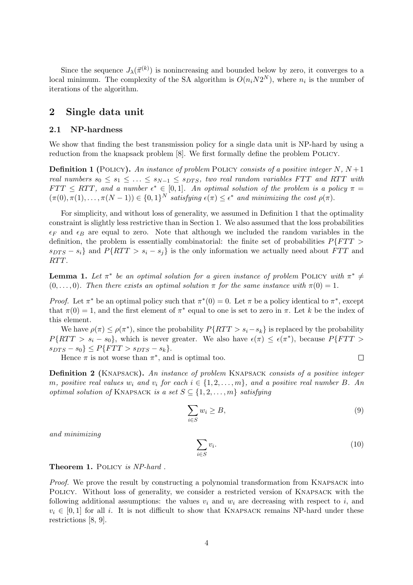Since the sequence  $J_{\lambda}(\vec{\pi}^{(k)})$  is nonincreasing and bounded below by zero, it converges to a local minimum. The complexity of the SA algorithm is  $O(n_iN2^N)$ , where  $n_i$  is the number of iterations of the algorithm.

# 2 Single data unit

#### 2.1 NP-hardness

We show that finding the best transmission policy for a single data unit is NP-hard by using a reduction from the knapsack problem [8]. We first formally define the problem Policy.

**Definition 1** (POLICY). An instance of problem POLICY consists of a positive integer N,  $N+1$ real numbers  $s_0 \leq s_1 \leq \ldots \leq s_{N-1} \leq s_{DTS}$ , two real random variables FTT and RTT with  $FTT \leq RTT$ , and a number  $\epsilon^* \in [0,1]$ . An optimal solution of the problem is a policy  $\pi =$  $(\pi(0), \pi(1), \ldots, \pi(N-1)) \in \{0,1\}^N$  satisfying  $\epsilon(\pi) \leq \epsilon^*$  and minimizing the cost  $\rho(\pi)$ .

For simplicity, and without loss of generality, we assumed in Definition 1 that the optimality constraint is slightly less restrictive than in Section 1. We also assumed that the loss probabilities  $\epsilon_F$  and  $\epsilon_B$  are equal to zero. Note that although we included the random variables in the definition, the problem is essentially combinatorial: the finite set of probabilities  $P\{FTT>$  $s_{DTS} - s_i$  and  $P\{RTT > s_i - s_j\}$  is the only information we actually need about FTT and RTT.

**Lemma 1.** Let  $\pi^*$  be an optimal solution for a given instance of problem POLICY with  $\pi^* \neq$  $(0, \ldots, 0)$ . Then there exists an optimal solution  $\pi$  for the same instance with  $\pi(0) = 1$ .

*Proof.* Let  $\pi^*$  be an optimal policy such that  $\pi^*(0) = 0$ . Let  $\pi$  be a policy identical to  $\pi^*$ , except that  $\pi(0) = 1$ , and the first element of  $\pi^*$  equal to one is set to zero in  $\pi$ . Let k be the index of this element.

We have  $\rho(\pi) \leq \rho(\pi^*)$ , since the probability  $P\{RTT > s_i - s_k\}$  is replaced by the probability  $P\{RTT > s_i - s_0\}$ , which is never greater. We also have  $\epsilon(\pi) \leq \epsilon(\pi^*)$ , because  $P\{FTT > s_0\}$  $s_{DTS} - s_0 \} \leq P\{FTT > s_{DTS} - s_k \}.$  $\Box$ 

Hence  $\pi$  is not worse than  $\pi^*$ , and is optimal too.

Definition 2 (KNAPSACK). An instance of problem KNAPSACK consists of a positive integer m, positive real values  $w_i$  and  $v_i$  for each  $i \in \{1, 2, \ldots, m\}$ , and a positive real number B. An optimal solution of KNAPSACK is a set  $S \subseteq \{1, 2, ..., m\}$  satisfying

$$
\sum_{i \in S} w_i \ge B,\tag{9}
$$

and minimizing

 $\sum$ i∈S  $v_i$ .  $(10)$ 

#### Theorem 1. POLICY is NP-hard.

Proof. We prove the result by constructing a polynomial transformation from KNAPSACK into Policy. Without loss of generality, we consider a restricted version of Knapsack with the following additional assumptions: the values  $v_i$  and  $w_i$  are decreasing with respect to i, and  $v_i \in [0,1]$  for all i. It is not difficult to show that KNAPSACK remains NP-hard under these restrictions [8, 9].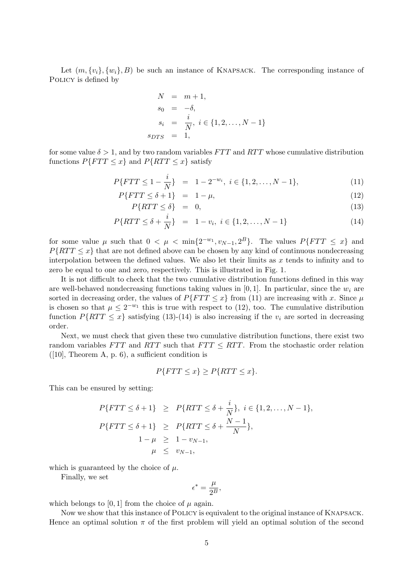Let  $(m, \{v_i\}, \{w_i\}, B)$  be such an instance of KNAPSACK. The corresponding instance of POLICY is defined by

$$
N = m + 1,\ns_0 = -\delta,\ns_i = \frac{i}{N}, i \in \{1, 2, ..., N - 1\}\ns_{DTS} = 1,
$$

for some value  $\delta > 1$ , and by two random variables  $FTT$  and  $RTT$  whose cumulative distribution functions  $P\{FTT \leq x\}$  and  $P\{RTT \leq x\}$  satisfy

$$
P\{FTT \le 1 - \frac{i}{N}\} = 1 - 2^{-w_i}, \ i \in \{1, 2, \dots, N - 1\},\tag{11}
$$

$$
P\{FTT \le \delta + 1\} = 1 - \mu,\tag{12}
$$

$$
P\{RTT \le \delta\} = 0,\tag{13}
$$

$$
P\{RTT \le \delta + \frac{i}{N}\} = 1 - v_i, \ i \in \{1, 2, \dots, N - 1\} \tag{14}
$$

for some value  $\mu$  such that  $0 < \mu < \min\{2^{-w_1}, v_{N-1}, 2^B\}$ . The values  $P\{FTT \leq x\}$  and  $P\{RTT \leq x\}$  that are not defined above can be chosen by any kind of continuous nondecreasing interpolation between the defined values. We also let their limits as  $x$  tends to infinity and to zero be equal to one and zero, respectively. This is illustrated in Fig. 1.

It is not difficult to check that the two cumulative distribution functions defined in this way are well-behaved nondecreasing functions taking values in  $[0, 1]$ . In particular, since the  $w_i$  are sorted in decreasing order, the values of  $P\{FTT \leq x\}$  from (11) are increasing with x. Since  $\mu$ is chosen so that  $\mu \leq 2^{-w_1}$  this is true with respect to (12), too. The cumulative distribution function  $P\{RTT \leq x\}$  satisfying (13)-(14) is also increasing if the  $v_i$  are sorted in decreasing order.

Next, we must check that given these two cumulative distribution functions, there exist two random variables  $FTT$  and  $RTT$  such that  $FTT \leq RTT$ . From the stochastic order relation  $([10],$  Theorem A, p. 6), a sufficient condition is

$$
P\{FTT \le x\} \ge P\{RTT \le x\}.
$$

This can be ensured by setting:

$$
P\{FTT \le \delta + 1\} \ge P\{RTT \le \delta + \frac{i}{N}\}, i \in \{1, 2, \dots, N - 1\},
$$
  

$$
P\{FTT \le \delta + 1\} \ge P\{RTT \le \delta + \frac{N - 1}{N}\},
$$
  

$$
1 - \mu \ge 1 - v_{N-1},
$$
  

$$
\mu \le v_{N-1},
$$

which is guaranteed by the choice of  $\mu$ .

Finally, we set

$$
\epsilon^* = \frac{\mu}{2^B},
$$

which belongs to [0, 1] from the choice of  $\mu$  again.

Now we show that this instance of Policy is equivalent to the original instance of Knapsack. Hence an optimal solution  $\pi$  of the first problem will yield an optimal solution of the second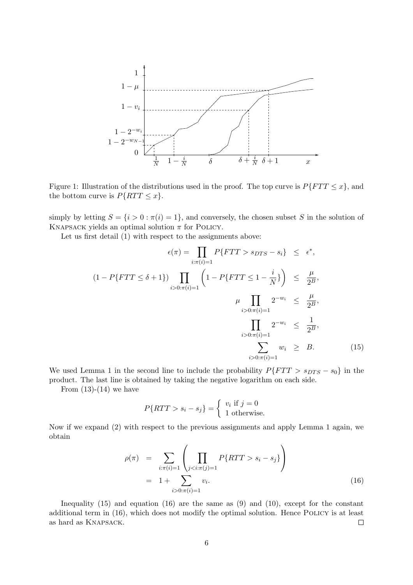

Figure 1: Illustration of the distributions used in the proof. The top curve is  $P\{FTT \leq x\}$ , and the bottom curve is  $P\{RTT \leq x\}.$ 

simply by letting  $S = \{i > 0 : \pi(i) = 1\}$ , and conversely, the chosen subset S in the solution of KNAPSACK yields an optimal solution  $\pi$  for POLICY.

Let us first detail (1) with respect to the assignments above:

$$
\epsilon(\pi) = \prod_{i:\pi(i)=1} P\{FTT > s_{DTS} - s_i\} \leq \epsilon^*,
$$
  
(1 - P\{FTT \leq \delta + 1\}) \prod\_{i>0:\pi(i)=1} \left(1 - P\{FTT \leq 1 - \frac{i}{N}\}\right) \leq \frac{\mu}{2^B},  

$$
\mu \prod_{i>0:\pi(i)=1} 2^{-w_i} \leq \frac{\mu}{2^B},
$$
  

$$
\prod_{i>0:\pi(i)=1} 2^{-w_i} \leq \frac{1}{2^B},
$$
  

$$
\sum_{i>0:\pi(i)=1} w_i \geq B.
$$
 (15)

We used Lemma 1 in the second line to include the probability  $P\{FTT > s_{DTS} - s_0\}$  in the product. The last line is obtained by taking the negative logarithm on each side.

From  $(13)-(14)$  we have

$$
P\{RTT > s_i - s_j\} = \begin{cases} v_i \text{ if } j = 0\\ 1 \text{ otherwise.} \end{cases}
$$

Now if we expand (2) with respect to the previous assignments and apply Lemma 1 again, we obtain

$$
\rho(\pi) = \sum_{i:\pi(i)=1} \left( \prod_{j s_i - s_j\} \right) \n= 1 + \sum_{i>0:\pi(i)=1} v_i.
$$
\n(16)

Inequality  $(15)$  and equation  $(16)$  are the same as  $(9)$  and  $(10)$ , except for the constant additional term in (16), which does not modify the optimal solution. Hence POLICY is at least as hard as Knapsack.  $\Box$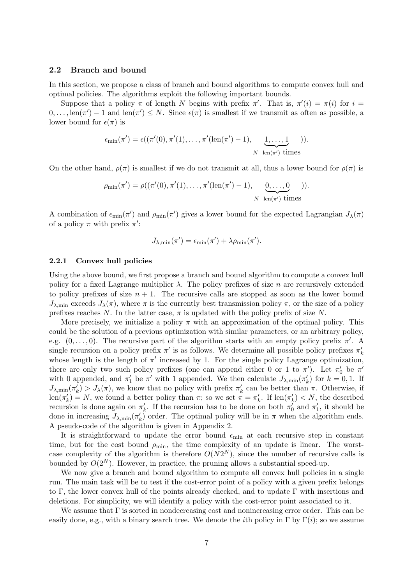#### 2.2 Branch and bound

In this section, we propose a class of branch and bound algorithms to compute convex hull and optimal policies. The algorithms exploit the following important bounds.

Suppose that a policy  $\pi$  of length N begins with prefix  $\pi'$ . That is,  $\pi'(i) = \pi(i)$  for  $i =$  $0,\ldots,\operatorname{len}(\pi')-1$  and  $\operatorname{len}(\pi')\leq N$ . Since  $\epsilon(\pi)$  is smallest if we transmit as often as possible, a lower bound for  $\epsilon(\pi)$  is

$$
\epsilon_{\min}(\pi') = \epsilon((\pi'(0), \pi'(1), \dots, \pi'(\text{len}(\pi') - 1), \underbrace{1, \dots, 1}_{N - \text{len}(\pi') \text{ times}})).
$$

On the other hand,  $\rho(\pi)$  is smallest if we do not transmit at all, thus a lower bound for  $\rho(\pi)$  is

$$
\rho_{\min}(\pi') = \rho((\pi'(0), \pi'(1), \dots, \pi'(\text{len}(\pi') - 1), \underbrace{0, \dots, 0}_{N - \text{len}(\pi')}\text{ times}})).
$$

A combination of  $\epsilon_{\min}(\pi')$  and  $\rho_{\min}(\pi')$  gives a lower bound for the expected Lagrangian  $J_{\lambda}(\pi)$ of a policy  $\pi$  with prefix  $\pi'$ :

$$
J_{\lambda,\min}(\pi') = \epsilon_{\min}(\pi') + \lambda \rho_{\min}(\pi').
$$

#### 2.2.1 Convex hull policies

Using the above bound, we first propose a branch and bound algorithm to compute a convex hull policy for a fixed Lagrange multiplier  $\lambda$ . The policy prefixes of size n are recursively extended to policy prefixes of size  $n + 1$ . The recursive calls are stopped as soon as the lower bound  $J_{\lambda,\text{min}}$  exceeds  $J_{\lambda}(\pi)$ , where  $\pi$  is the currently best transmission policy  $\pi$ , or the size of a policy prefixes reaches N. In the latter case,  $\pi$  is updated with the policy prefix of size N.

More precisely, we initialize a policy  $\pi$  with an approximation of the optimal policy. This could be the solution of a previous optimization with similar parameters, or an arbitrary policy, e.g.  $(0, \ldots, 0)$ . The recursive part of the algorithm starts with an empty policy prefix  $\pi'$ . A single recursion on a policy prefix  $\pi'$  is as follows. We determine all possible policy prefixes  $\pi'_k$ whose length is the length of  $\pi'$  increased by 1. For the single policy Lagrange optimization, there are only two such policy prefixes (one can append either 0 or 1 to  $\pi'$ ). Let  $\pi'_0$  be  $\pi'$ with 0 appended, and  $\pi'_1$  be  $\pi'$  with 1 appended. We then calculate  $J_{\lambda,\min}(\pi'_k)$  for  $k=0,1$ . If  $J_{\lambda,\min}(\pi'_k) > J_{\lambda}(\pi)$ , we know that no policy with prefix  $\pi'_k$  can be better than  $\pi$ . Otherwise, if  $\text{len}(\pi'_k) = N$ , we found a better policy than  $\pi$ ; so we set  $\pi = \pi'_k$ . If  $\text{len}(\pi'_k) < N$ , the described recursion is done again on  $\pi'_k$ . If the recursion has to be done on both  $\pi'_0$  and  $\pi'_1$ , it should be done in increasing  $J_{\lambda,\min}(\pi'_k)$  order. The optimal policy will be in  $\pi$  when the algorithm ends. A pseudo-code of the algorithm is given in Appendix 2.

It is straightforward to update the error bound  $\epsilon_{\min}$  at each recursive step in constant time, but for the cost bound  $\rho_{\min}$ , the time complexity of an update is linear. The worstcase complexity of the algorithm is therefore  $O(N2^N)$ , since the number of recursive calls is bounded by  $O(2^N)$ . However, in practice, the pruning allows a substantial speed-up.

We now give a branch and bound algorithm to compute all convex hull policies in a single run. The main task will be to test if the cost-error point of a policy with a given prefix belongs to Γ, the lower convex hull of the points already checked, and to update Γ with insertions and deletions. For simplicity, we will identify a policy with the cost-error point associated to it.

We assume that Γ is sorted in nondecreasing cost and nonincreasing error order. This can be easily done, e.g., with a binary search tree. We denote the *i*th policy in  $\Gamma$  by  $\Gamma(i)$ ; so we assume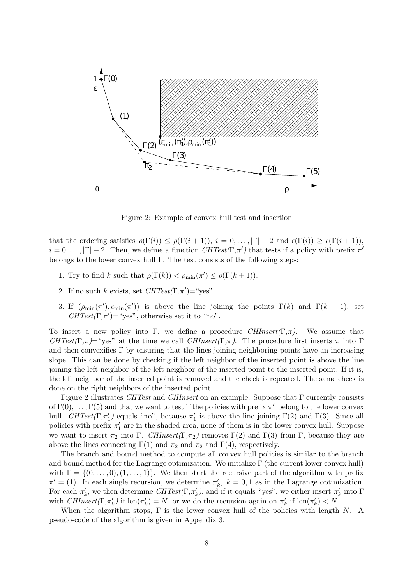

Figure 2: Example of convex hull test and insertion

that the ordering satisfies  $\rho(\Gamma(i)) \leq \rho(\Gamma(i+1)), i = 0, \ldots, |\Gamma| - 2$  and  $\epsilon(\Gamma(i)) \geq \epsilon(\Gamma(i+1)),$  $i = 0, \ldots, |\Gamma| - 2$ . Then, we define a function  $CHTest(\Gamma, \pi')$  that tests if a policy with prefix  $\pi'$ belongs to the lower convex hull  $\Gamma$ . The test consists of the following steps:

- 1. Try to find k such that  $\rho(\Gamma(k)) < \rho_{\min}(\pi') \leq \rho(\Gamma(k+1)).$
- 2. If no such k exists, set  $CHTest(\Gamma, \pi') = "yes".$
- 3. If  $(\rho_{\min}(\pi'), \epsilon_{\min}(\pi'))$  is above the line joining the points  $\Gamma(k)$  and  $\Gamma(k + 1)$ , set  $CHTest(\Gamma, \pi') = "yes",$  otherwise set it to "no".

To insert a new policy into Γ, we define a procedure  $CHInsert(\Gamma,\pi)$ . We assume that CHTest(Γ,π)="yes" at the time we call CHInsert(Γ,π). The procedure first inserts π into Γ and then convexifies  $\Gamma$  by ensuring that the lines joining neighboring points have an increasing slope. This can be done by checking if the left neighbor of the inserted point is above the line joining the left neighbor of the left neighbor of the inserted point to the inserted point. If it is, the left neighbor of the inserted point is removed and the check is repeated. The same check is done on the right neighbors of the inserted point.

Figure 2 illustrates CHTest and CHInsert on an example. Suppose that  $\Gamma$  currently consists of  $\Gamma(0), \ldots, \Gamma(5)$  and that we want to test if the policies with prefix  $\pi'_1$  belong to the lower convex hull.  $CHTest(\Gamma, \pi'_1)$  equals "no", because  $\pi'_1$  is above the line joining  $\Gamma(2)$  and  $\Gamma(3)$ . Since all policies with prefix  $\pi'_1$  are in the shaded area, none of them is in the lower convex hull. Suppose we want to insert  $\pi_2$  into Γ. CHInsert(Γ, $\pi_2$ ) removes Γ(2) and Γ(3) from Γ, because they are above the lines connecting  $\Gamma(1)$  and  $\pi_2$  and  $\pi_2$  and  $\Gamma(4)$ , respectively.

The branch and bound method to compute all convex hull policies is similar to the branch and bound method for the Lagrange optimization. We initialize  $\Gamma$  (the current lower convex hull) with  $\Gamma = \{(0, \ldots, 0), (1, \ldots, 1)\}\$ . We then start the recursive part of the algorithm with prefix  $\pi' = (1)$ . In each single recursion, we determine  $\pi'_k$ ,  $k = 0, 1$  as in the Lagrange optimization. For each  $\pi'_k$ , we then determine  $CHTest(\Gamma, \pi'_k)$ , and if it equals "yes", we either insert  $\pi'_k$  into  $\Gamma$ with  $CHInsert(\Gamma, \pi'_{k})$  if  $len(\pi'_{k}) = N$ , or we do the recursion again on  $\pi'_{k}$  if  $len(\pi'_{k}) < N$ .

When the algorithm stops,  $\Gamma$  is the lower convex hull of the policies with length N. A pseudo-code of the algorithm is given in Appendix 3.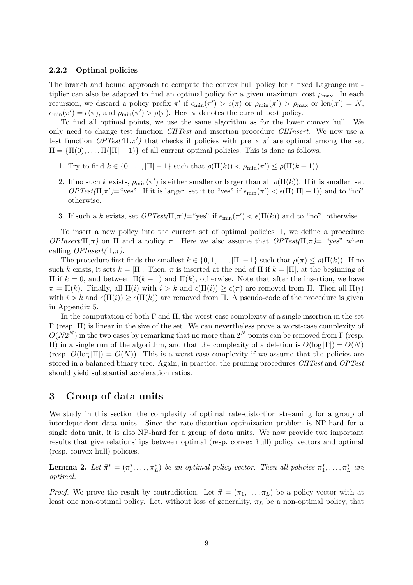#### 2.2.2 Optimal policies

The branch and bound approach to compute the convex hull policy for a fixed Lagrange multiplier can also be adapted to find an optimal policy for a given maximum cost  $\rho_{\text{max}}$ . In each recursion, we discard a policy prefix  $\pi'$  if  $\epsilon_{\min}(\pi') > \epsilon(\pi)$  or  $\rho_{\min}(\pi') > \rho_{\max}$  or  $\text{len}(\pi') = N$ ,  $\epsilon_{\min}(\pi') = \epsilon(\pi)$ , and  $\rho_{\min}(\pi') > \rho(\pi)$ . Here  $\pi$  denotes the current best policy.

To find all optimal points, we use the same algorithm as for the lower convex hull. We only need to change test function CHTest and insertion procedure CHInsert. We now use a test function  $OPTest(\Pi, \pi')$  that checks if policies with prefix  $\pi'$  are optimal among the set  $\Pi = {\Pi(0), \dots, \Pi(|\Pi|-1)}$  of all current optimal policies. This is done as follows.

- 1. Try to find  $k \in \{0, \ldots, |\Pi| 1\}$  such that  $\rho(\Pi(k)) < \rho_{\min}(\pi') \leq \rho(\Pi(k+1)).$
- 2. If no such k exists,  $\rho_{\min}(\pi')$  is either smaller or larger than all  $\rho(\Pi(k))$ . If it is smaller, set  $OPTest(\Pi, \pi') = \text{``yes''}.$  If it is larger, set it to "yes" if  $\epsilon_{\min}(\pi') < \epsilon(\Pi(|\Pi| - 1))$  and to "no" otherwise.
- 3. If such a k exists, set  $OPTest(\Pi, \pi') = \text{``yes''}$  if  $\epsilon_{\min}(\pi') < \epsilon(\Pi(k))$  and to "no", otherwise.

To insert a new policy into the current set of optimal policies Π, we define a procedure OPInsert(Π,π) on Π and a policy π. Here we also assume that  $OPTest(\Pi,\pi)$ = "yes" when calling  $OPInsert(\Pi,\pi)$ .

The procedure first finds the smallest  $k \in \{0, 1, \ldots, |\Pi| - 1\}$  such that  $\rho(\pi) \leq \rho(\Pi(k))$ . If no such k exists, it sets  $k = \Pi$ . Then,  $\pi$  is inserted at the end of  $\Pi$  if  $k = \Pi$ , at the beginning of Π if k = 0, and between Π(k − 1) and Π(k), otherwise. Note that after the insertion, we have  $\pi = \Pi(k)$ . Finally, all  $\Pi(i)$  with  $i > k$  and  $\epsilon(\Pi(i)) \geq \epsilon(\pi)$  are removed from  $\Pi$ . Then all  $\Pi(i)$ with  $i > k$  and  $\epsilon(\Pi(i)) \geq \epsilon(\Pi(k))$  are removed from  $\Pi$ . A pseudo-code of the procedure is given in Appendix 5.

In the computation of both  $\Gamma$  and  $\Pi$ , the worst-case complexity of a single insertion in the set Γ (resp. Π) is linear in the size of the set. We can nevertheless prove a worst-case complexity of  $O(N2^N)$  in the two cases by remarking that no more than  $2^N$  points can be removed from  $\Gamma$  (resp. II) in a single run of the algorithm, and that the complexity of a deletion is  $O(log |\Gamma|) = O(N)$ (resp.  $O(\log |\Pi|) = O(N)$ ). This is a worst-case complexity if we assume that the policies are stored in a balanced binary tree. Again, in practice, the pruning procedures CHTest and OPTest should yield substantial acceleration ratios.

# 3 Group of data units

We study in this section the complexity of optimal rate-distortion streaming for a group of interdependent data units. Since the rate-distortion optimization problem is NP-hard for a single data unit, it is also NP-hard for a group of data units. We now provide two important results that give relationships between optimal (resp. convex hull) policy vectors and optimal (resp. convex hull) policies.

**Lemma 2.** Let  $\vec{\pi}^* = (\pi_1^*, \ldots, \pi_L^*)$  be an optimal policy vector. Then all policies  $\pi_1^*, \ldots, \pi_L^*$  are optimal.

*Proof.* We prove the result by contradiction. Let  $\vec{\pi} = (\pi_1, \dots, \pi_L)$  be a policy vector with at least one non-optimal policy. Let, without loss of generality,  $\pi_L$  be a non-optimal policy, that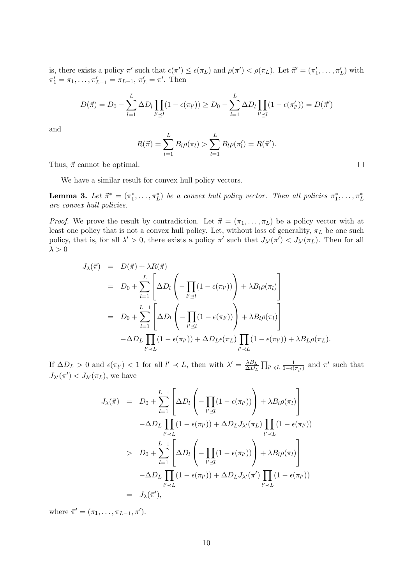is, there exists a policy  $\pi'$  such that  $\epsilon(\pi') \leq \epsilon(\pi_L)$  and  $\rho(\pi') < \rho(\pi_L)$ . Let  $\vec{\pi}' = (\pi'_1, \ldots, \pi'_L)$  with  $\pi'_1 = \pi_1, \ldots, \pi'_{L-1} = \pi_{L-1}, \pi'_L = \pi'.$  Then

$$
D(\vec{\pi}) = D_0 - \sum_{l=1}^{L} \Delta D_l \prod_{l' \leq l} (1 - \epsilon(\pi_{l'})) \geq D_0 - \sum_{l=1}^{L} \Delta D_l \prod_{l' \leq l} (1 - \epsilon(\pi_{l'}')) = D(\vec{\pi}')
$$

and

$$
R(\vec{\pi}) = \sum_{l=1}^{L} B_l \rho(\pi_l) > \sum_{l=1}^{L} B_l \rho(\pi'_l) = R(\vec{\pi}').
$$

 $\Box$ 

Thus,  $\vec{\pi}$  cannot be optimal.

We have a similar result for convex hull policy vectors.

**Lemma 3.** Let  $\vec{\pi}^* = (\pi_1^*, \ldots, \pi_L^*)$  be a convex hull policy vector. Then all policies  $\pi_1^*, \ldots, \pi_L^*$ are convex hull policies.

*Proof.* We prove the result by contradiction. Let  $\vec{\pi} = (\pi_1, \dots, \pi_L)$  be a policy vector with at least one policy that is not a convex hull policy. Let, without loss of generality,  $\pi_L$  be one such policy, that is, for all  $\lambda' > 0$ , there exists a policy  $\pi'$  such that  $J_{\lambda'}(\pi') < J_{\lambda'}(\pi_L)$ . Then for all  $\lambda>0$ 

$$
J_{\lambda}(\vec{\pi}) = D(\vec{\pi}) + \lambda R(\vec{\pi})
$$
  
\n
$$
= D_0 + \sum_{l=1}^{L} \left[ \Delta D_l \left( -\prod_{l'\preceq l} (1 - \epsilon(\pi_{l'})) \right) + \lambda B_l \rho(\pi_l) \right]
$$
  
\n
$$
= D_0 + \sum_{l=1}^{L-1} \left[ \Delta D_l \left( -\prod_{l'\preceq l} (1 - \epsilon(\pi_{l'})) \right) + \lambda B_l \rho(\pi_l) \right]
$$
  
\n
$$
- \Delta D_L \prod_{l'\preceq L} (1 - \epsilon(\pi_{l'})) + \Delta D_L \epsilon(\pi_L) \prod_{l'\preceq L} (1 - \epsilon(\pi_{l'})) + \lambda B_L \rho(\pi_L).
$$

If  $\Delta D_L > 0$  and  $\epsilon(\pi_{l'}) < 1$  for all  $l' \prec L$ , then with  $\lambda' = \frac{\lambda B_L}{\Delta D_I}$  $\frac{\lambda B_L}{\Delta D_L} \prod_{l' \prec L} \frac{1}{1 - \epsilon(\pi_{l'})}$  and  $\pi'$  such that  $J_{\lambda}(\pi') < J_{\lambda'}(\pi_L)$ , we have

$$
J_{\lambda}(\vec{\pi}) = D_0 + \sum_{l=1}^{L-1} \left[ \Delta D_l \left( -\prod_{l'\preceq l} (1 - \epsilon(\pi_{l'})) \right) + \lambda B_l \rho(\pi_l) \right]
$$
  

$$
-\Delta D_L \prod_{l'\prec L} (1 - \epsilon(\pi_{l'})) + \Delta D_L J_{\lambda'}(\pi_L) \prod_{l'\prec L} (1 - \epsilon(\pi_{l'}))
$$
  

$$
> D_0 + \sum_{l=1}^{L-1} \left[ \Delta D_l \left( -\prod_{l'\preceq l} (1 - \epsilon(\pi_{l'})) \right) + \lambda B_l \rho(\pi_l) \right]
$$
  

$$
-\Delta D_L \prod_{l'\prec L} (1 - \epsilon(\pi_{l'})) + \Delta D_L J_{\lambda'}(\pi') \prod_{l'\prec L} (1 - \epsilon(\pi_{l'}))
$$
  

$$
= J_{\lambda}(\vec{\pi}'),
$$

where  $\vec{\pi}' = (\pi_1, \ldots, \pi_{L-1}, \pi').$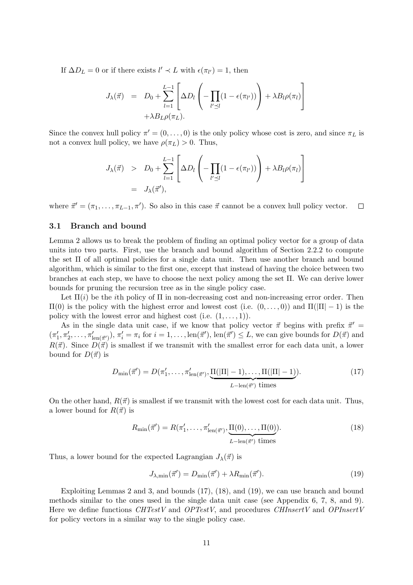If  $\Delta D_L = 0$  or if there exists  $l' \prec L$  with  $\epsilon(\pi_{l'}) = 1$ , then

$$
J_{\lambda}(\vec{\pi}) = D_0 + \sum_{l=1}^{L-1} \left[ \Delta D_l \left( - \prod_{l' \preceq l} (1 - \epsilon(\pi_{l'})) \right) + \lambda B_l \rho(\pi_l) \right] + \lambda B_L \rho(\pi_L).
$$

Since the convex hull policy  $\pi' = (0, \ldots, 0)$  is the only policy whose cost is zero, and since  $\pi_L$  is not a convex hull policy, we have  $\rho(\pi_L) > 0$ . Thus,

$$
J_{\lambda}(\vec{\pi}) > D_0 + \sum_{l=1}^{L-1} \left[ \Delta D_l \left( -\prod_{l'\preceq l} (1 - \epsilon(\pi_{l'})) \right) + \lambda B_l \rho(\pi_l) \right]
$$
  
=  $J_{\lambda}(\vec{\pi}'),$ 

where  $\vec{\pi}' = (\pi_1, \ldots, \pi_{L-1}, \pi')$ . So also in this case  $\vec{\pi}$  cannot be a convex hull policy vector.  $\Box$ 

#### 3.1 Branch and bound

Lemma 2 allows us to break the problem of finding an optimal policy vector for a group of data units into two parts. First, use the branch and bound algorithm of Section 2.2.2 to compute the set Π of all optimal policies for a single data unit. Then use another branch and bound algorithm, which is similar to the first one, except that instead of having the choice between two branches at each step, we have to choose the next policy among the set  $\Pi$ . We can derive lower bounds for pruning the recursion tree as in the single policy case.

Let  $\Pi(i)$  be the *i*th policy of  $\Pi$  in non-decreasing cost and non-increasing error order. Then  $\Pi(0)$  is the policy with the highest error and lowest cost (i.e.  $(0, \ldots, 0)$ ) and  $\Pi(|\Pi| - 1)$  is the policy with the lowest error and highest cost (i.e.  $(1, \ldots, 1)$ ).

As in the single data unit case, if we know that policy vector  $\vec{\pi}$  begins with prefix  $\vec{\pi}'$  =  $(\pi'_1, \pi'_2, \ldots, \pi'_{\text{len}(\vec{\pi}')}), \pi'_i = \pi_i \text{ for } i = 1, \ldots, \text{len}(\vec{\pi}')$ ,  $\text{len}(\vec{\pi}') \leq L$ , we can give bounds for  $D(\vec{\pi})$  and  $R(\vec{\pi})$ . Since  $D(\vec{\pi})$  is smallest if we transmit with the smallest error for each data unit, a lower bound for  $D(\vec{\pi})$  is

$$
D_{\min}(\vec{\pi}') = D(\pi'_1, \dots, \pi'_{\text{len}(\vec{\pi}')}, \underbrace{\Pi(|\Pi| - 1), \dots, \Pi(|\Pi| - 1)}_{L - \text{len}(\vec{\pi}') \text{ times}}). \tag{17}
$$

On the other hand,  $R(\vec{\pi})$  is smallest if we transmit with the lowest cost for each data unit. Thus, a lower bound for  $R(\vec{\pi})$  is

$$
R_{\min}(\vec{\pi}') = R(\pi'_1, \dots, \pi'_{\text{len}(\vec{\pi}')}, \underbrace{\Pi(0), \dots, \Pi(0)}_{L-\text{len}(\vec{\pi}') \text{ times}}). \tag{18}
$$

Thus, a lower bound for the expected Lagrangian  $J_{\lambda}(\vec{\pi})$  is

$$
J_{\lambda,\min}(\vec{\pi}') = D_{\min}(\vec{\pi}') + \lambda R_{\min}(\vec{\pi}'). \tag{19}
$$

Exploiting Lemmas 2 and 3, and bounds (17), (18), and (19), we can use branch and bound methods similar to the ones used in the single data unit case (see Appendix 6, 7, 8, and 9). Here we define functions CHTestV and OPTestV, and procedures CHInsertV and OPInsertV for policy vectors in a similar way to the single policy case.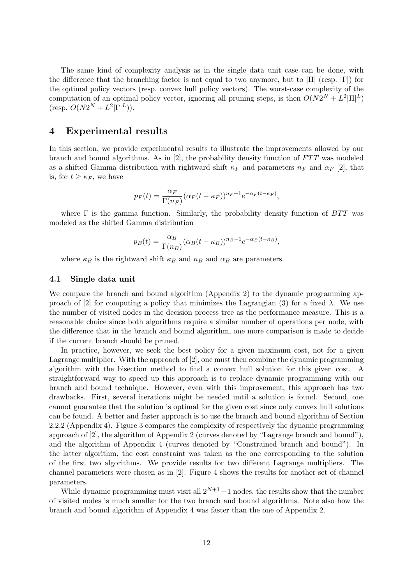The same kind of complexity analysis as in the single data unit case can be done, with the difference that the branching factor is not equal to two anymore, but to  $|\Pi|$  (resp.  $|\Gamma|$ ) for the optimal policy vectors (resp. convex hull policy vectors). The worst-case complexity of the computation of an optimal policy vector, ignoring all pruning steps, is then  $O(N2^N + L^2|\Pi|^L)$  $(\text{resp. } O(N2^N + L^2|\Gamma|^L)).$ 

# 4 Experimental results

In this section, we provide experimental results to illustrate the improvements allowed by our branch and bound algorithms. As in [2], the probability density function of FTT was modeled as a shifted Gamma distribution with rightward shift  $\kappa_F$  and parameters  $n_F$  and  $\alpha_F$  [2], that is, for  $t \geq \kappa_F$ , we have

$$
p_F(t) = \frac{\alpha_F}{\Gamma(n_F)} (\alpha_F(t - \kappa_F))^{n_F - 1} e^{-\alpha_F(t - \kappa_F)},
$$

where  $\Gamma$  is the gamma function. Similarly, the probability density function of  $BTT$  was modeled as the shifted Gamma distribution

$$
p_B(t) = \frac{\alpha_B}{\Gamma(n_B)} (\alpha_B(t - \kappa_B))^{n_B - 1} e^{-\alpha_B(t - \kappa_B)},
$$

where  $\kappa_B$  is the rightward shift  $\kappa_B$  and  $n_B$  and  $\alpha_B$  are parameters.

#### 4.1 Single data unit

We compare the branch and bound algorithm (Appendix 2) to the dynamic programming approach of [2] for computing a policy that minimizes the Lagrangian (3) for a fixed  $\lambda$ . We use the number of visited nodes in the decision process tree as the performance measure. This is a reasonable choice since both algorithms require a similar number of operations per node, with the difference that in the branch and bound algorithm, one more comparison is made to decide if the current branch should be pruned.

In practice, however, we seek the best policy for a given maximum cost, not for a given Lagrange multiplier. With the approach of [2], one must then combine the dynamic programming algorithm with the bisection method to find a convex hull solution for this given cost. A straightforward way to speed up this approach is to replace dynamic programming with our branch and bound technique. However, even with this improvement, this approach has two drawbacks. First, several iterations might be needed until a solution is found. Second, one cannot guarantee that the solution is optimal for the given cost since only convex hull solutions can be found. A better and faster approach is to use the branch and bound algorithm of Section 2.2.2 (Appendix 4). Figure 3 compares the complexity of respectively the dynamic programming approach of [2], the algorithm of Appendix 2 (curves denoted by "Lagrange branch and bound"), and the algorithm of Appendix 4 (curves denoted by "Constrained branch and bound"). In the latter algorithm, the cost constraint was taken as the one corresponding to the solution of the first two algorithms. We provide results for two different Lagrange multipliers. The channel parameters were chosen as in [2]. Figure 4 shows the results for another set of channel parameters.

While dynamic programming must visit all  $2^{N+1}-1$  nodes, the results show that the number of visited nodes is much smaller for the two branch and bound algorithms. Note also how the branch and bound algorithm of Appendix 4 was faster than the one of Appendix 2.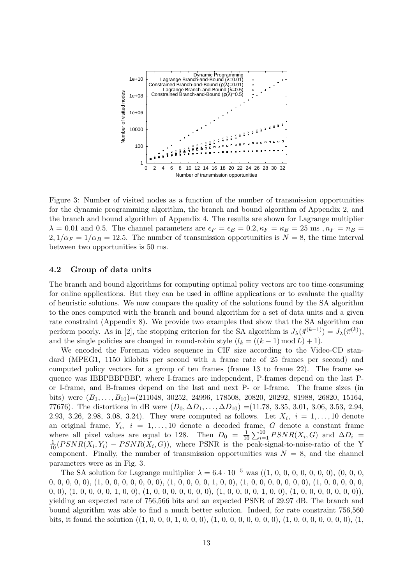

Figure 3: Number of visited nodes as a function of the number of transmission opportunities for the dynamic programming algorithm, the branch and bound algorithm of Appendix 2, and the branch and bound algorithm of Appendix 4. The results are shown for Lagrange multiplier  $\lambda = 0.01$  and 0.5. The channel parameters are  $\epsilon_F = \epsilon_B = 0.2, \kappa_F = \kappa_B = 25$  ms,  $n_F = n_B =$  $2, 1/\alpha_F = 1/\alpha_B = 12.5$ . The number of transmission opportunities is  $N = 8$ , the time interval between two opportunities is 50 ms.

# 4.2 Group of data units

The branch and bound algorithms for computing optimal policy vectors are too time-consuming for online applications. But they can be used in offline applications or to evaluate the quality of heuristic solutions. We now compare the quality of the solutions found by the SA algorithm to the ones computed with the branch and bound algorithm for a set of data units and a given rate constraint (Appendix 8). We provide two examples that show that the SA algorithm can perform poorly. As in [2], the stopping criterion for the SA algorithm is  $J_{\lambda}(\vec{\pi}^{(k-1)}) = J_{\lambda}(\vec{\pi}^{(k)})$ , and the single policies are changed in round-robin style  $(l_k = ((k-1) \mod L) + 1)$ .

We encoded the Foreman video sequence in CIF size according to the Video-CD standard (MPEG1, 1150 kilobits per second with a frame rate of 25 frames per second) and computed policy vectors for a group of ten frames (frame 13 to frame 22). The frame sequence was IBBPBBPBBP, where I-frames are independent, P-frames depend on the last Por I-frame, and B-frames depend on the last and next P- or I-frame. The frame sizes (in bits) were  $(B_1, \ldots, B_{10}) = (211048, 30252, 24996, 178508, 20820, 20292, 81988, 26820, 15164,$ 77676). The distortions in dB were  $(D_0, \Delta D_1, \ldots, \Delta D_{10}) = (11.78, 3.35, 3.01, 3.06, 3.53, 2.94, ...)$ 2.93, 3.26, 2.98, 3.08, 3.24). They were computed as follows. Let  $X_i$ ,  $i = 1, ..., 10$  denote an original frame,  $Y_i$ ,  $i = 1, \ldots, 10$  denote a decoded frame, G denote a constant frame where all pixel values are equal to 128. Then  $D_0 = \frac{1}{10}$  $\frac{1}{10} \sum_{i=1}^{10} PSNR(X_i, G)$  and  $\Delta D_i$  =  $\frac{1}{10}(PSNR(X_i,Y_i) - PSNR(X_i,G))$ , where PSNR is the peak-signal-to-noise-ratio of the Y component. Finally, the number of transmission opportunities was  $N = 8$ , and the channel parameters were as in Fig. 3.

The SA solution for Lagrange multiplier λ = 6.4 · 10−<sup>5</sup> was ((1, 0, 0, 0, 0, 0, 0, 0), (0, 0, 0, 0, 0, 0, 0, 0), (1, 0, 0, 0, 0, 0, 0, 0), (1, 0, 0, 0, 0, 1, 0, 0), (1, 0, 0, 0, 0, 0, 0, 0), (1, 0, 0, 0, 0, 0, 0, 0), (1, 0, 0, 0, 0, 1, 0, 0), (1, 0, 0, 0, 0, 0, 0, 0), (1, 0, 0, 0, 0, 1, 0, 0), (1, 0, 0, 0, 0, 0, 0, 0)), yielding an expected rate of 756,566 bits and an expected PSNR of 29.97 dB. The branch and bound algorithm was able to find a much better solution. Indeed, for rate constraint 756,560 bits, it found the solution ((1, 0, 0, 0, 1, 0, 0, 0), (1, 0, 0, 0, 0, 0, 0, 0), (1, 0, 0, 0, 0, 0, 0, 0), (1,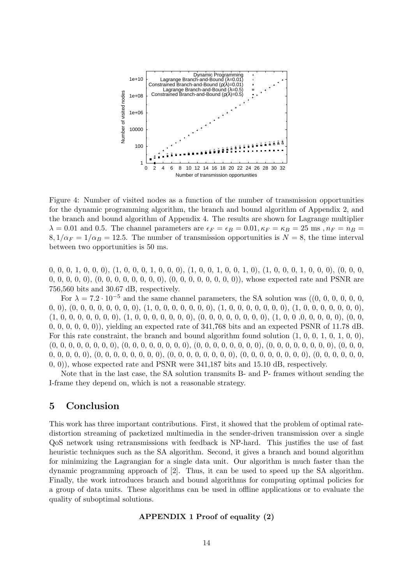

Figure 4: Number of visited nodes as a function of the number of transmission opportunities for the dynamic programming algorithm, the branch and bound algorithm of Appendix 2, and the branch and bound algorithm of Appendix 4. The results are shown for Lagrange multiplier  $\lambda = 0.01$  and 0.5. The channel parameters are  $\epsilon_F = \epsilon_B = 0.01, \kappa_F = \kappa_B = 25$  ms,  $n_F = n_B =$  $8, 1/\alpha_F = 1/\alpha_B = 12.5$ . The number of transmission opportunities is  $N = 8$ , the time interval between two opportunities is 50 ms.

0, 0, 0, 1, 0, 0, 0), (1, 0, 0, 0, 1, 0, 0, 0), (1, 0, 0, 1, 0, 0, 1, 0), (1, 0, 0, 0, 1, 0, 0, 0), (0, 0, 0, 0, 0, 0, 0, 0), (0, 0, 0, 0, 0, 0, 0, 0), (0, 0, 0, 0, 0, 0, 0, 0)), whose expected rate and PSNR are 756,560 bits and 30.67 dB, respectively.

For λ = 7.2 · 10−<sup>5</sup> and the same channel parameters, the SA solution was ((0, 0, 0, 0, 0, 0, 0, 0), (0, 0, 0, 0, 0, 0, 0, 0), (1, 0, 0, 0, 0, 0, 0, 0), (1, 0, 0, 0, 0, 0, 0, 0), (1, 0, 0, 0, 0, 0, 0, 0), (1, 0, 0, 0, 0, 0, 0, 0), (1, 0, 0, 0, 0, 0, 0, 0), (0, 0, 0, 0, 0, 0, 0, 0), (1, 0, 0 ,0, 0, 0, 0, 0), (0, 0, 0, 0, 0, 0, 0, 0)), yielding an expected rate of 341,768 bits and an expected PSNR of 11.78 dB. For this rate constraint, the branch and bound algorithm found solution  $(1, 0, 0, 1, 0, 1, 0, 0)$ , (0, 0, 0, 0, 0, 0, 0, 0), (0, 0, 0, 0, 0, 0, 0, 0), (0, 0, 0, 0, 0, 0, 0, 0), (0, 0, 0, 0, 0, 0, 0, 0), (0, 0, 0, 0, 0, 0, 0, 0), (0, 0, 0, 0, 0, 0, 0, 0), (0, 0, 0, 0, 0, 0, 0, 0), (0, 0, 0, 0, 0, 0, 0, 0), (0, 0, 0, 0, 0, 0, 0, 0)), whose expected rate and PSNR were 341,187 bits and 15.10 dB, respectively.

Note that in the last case, the SA solution transmits B- and P- frames without sending the I-frame they depend on, which is not a reasonable strategy.

# 5 Conclusion

This work has three important contributions. First, it showed that the problem of optimal ratedistortion streaming of packetized multimedia in the sender-driven transmission over a single QoS network using retransmissions with feedback is NP-hard. This justifies the use of fast heuristic techniques such as the SA algorithm. Second, it gives a branch and bound algorithm for minimizing the Lagrangian for a single data unit. Our algorithm is much faster than the dynamic programming approach of [2]. Thus, it can be used to speed up the SA algorithm. Finally, the work introduces branch and bound algorithms for computing optimal policies for a group of data units. These algorithms can be used in offline applications or to evaluate the quality of suboptimal solutions.

#### APPENDIX 1 Proof of equality (2)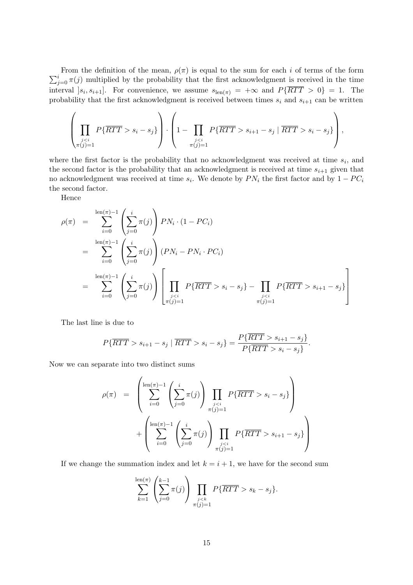$\sum_{j=0}^{i} \pi(j)$  multiplied by the probability that the first acknowledgment is received in the time From the definition of the mean,  $\rho(\pi)$  is equal to the sum for each i of terms of the form interval  $[s_i, s_{i+1}]$ . For convenience, we assume  $s_{\text{len}(\pi)} = +\infty$  and  $P\{RTT > 0\} = 1$ . The probability that the first acknowledgment is received between times  $s_i$  and  $s_{i+1}$  can be written

$$
\left(\prod_{\substack{js_i-s_j\}\right)\cdot\left(1-\prod_{\substack{js_{i+1}-s_j\mid\overline{RTT}>s_i-s_j\}\right),
$$

where the first factor is the probability that no acknowledgment was received at time  $s_i$ , and the second factor is the probability that an acknowledgment is received at time  $s_{i+1}$  given that no acknowledgment was received at time  $s_i$ . We denote by  $PN_i$  the first factor and by  $1 - PC_i$ the second factor.

Hence

$$
\rho(\pi) = \sum_{i=0}^{\text{len}(\pi)-1} \left( \sum_{j=0}^{i} \pi(j) \right) PN_i \cdot (1 - PC_i)
$$
  
\n
$$
= \sum_{i=0}^{\text{len}(\pi)-1} \left( \sum_{j=0}^{i} \pi(j) \right) (PN_i - PN_i \cdot PC_i)
$$
  
\n
$$
= \sum_{i=0}^{\text{len}(\pi)-1} \left( \sum_{j=0}^{i} \pi(j) \right) \left[ \prod_{\substack{j s_i - s_j\} - \prod_{\substack{j s_{i+1} - s_j\} \right]
$$

The last line is due to

$$
P\{\overline{RTT} > s_{i+1} - s_j \mid \overline{RTT} > s_i - s_j\} = \frac{P\{\overline{RTT} > s_{i+1} - s_j\}}{P\{\overline{RTT} > s_i - s_j\}}.
$$

Now we can separate into two distinct sums

$$
\rho(\pi) = \left( \sum_{i=0}^{\text{len}(\pi)-1} \left( \sum_{j=0}^{i} \pi(j) \right) \prod_{\substack{j s_i - s_j\} \right) + \left( \sum_{i=0}^{\text{len}(\pi)-1} \left( \sum_{j=0}^{i} \pi(j) \right) \prod_{\substack{j s_{i+1} - s_j\} \right)
$$

If we change the summation index and let  $k = i + 1$ , we have for the second sum

$$
\sum_{k=1}^{\operatorname{len}(\pi)} \left( \sum_{j=0}^{k-1} \pi(j) \right) \prod_{\substack{j < k \\ \pi(j)=1}} P\{\overline{RTT} > s_k - s_j\}.
$$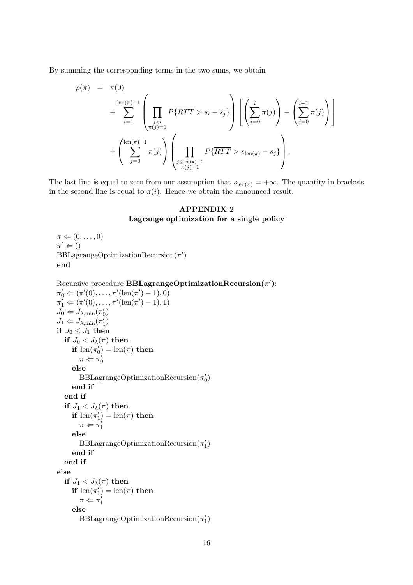By summing the corresponding terms in the two sums, we obtain

$$
\rho(\pi) = \pi(0) \n+ \sum_{i=1}^{\ln(\pi)-1} \left( \prod_{\substack{j s_i - s_j\} \right) \left[ \left( \sum_{j=0}^i \pi(j) \right) - \left( \sum_{j=0}^{i-1} \pi(j) \right) \right] \n+ \left( \sum_{j=0}^{\ln(\pi)-1} \pi(j) \right) \left( \prod_{\substack{j\leq \ln(\pi)-1 \\ \pi(j)=1}} P\{\overline{RTT} > s_{\ln(\pi)} - s_j\} \right).
$$

The last line is equal to zero from our assumption that  $s_{\text{len}(\pi)} = +\infty$ . The quantity in brackets in the second line is equal to  $\pi(i)$ . Hence we obtain the announced result.

# APPENDIX 2 Lagrange optimization for a single policy

```
\pi \leftarrow (0, \ldots, 0)\pi' \Leftarrow ()BBLagrangeOptimizationRecursion(\pi')end
\text{Recursive procedure } \mathbf{BBLagrangeOptimizationRecursion}(\pi')\text{:}\pi'_0 \Leftarrow (\pi'(0), \ldots, \pi'(\text{len}(\pi')-1), 0)\pi_1' \Leftarrow (\pi'(0), \ldots, \pi'(\text{len}(\pi')-1), 1)J_0 \Leftarrow J_{\lambda,\min}(\pi'_0)J_1 \Leftarrow J_{\lambda,\min}(\pi_1')if J_0 \leq J_1 then
   if J_0 < J_\lambda(\pi) then
       if \operatorname{len}(\pi_0') = \operatorname{len}(\pi) then
          \pi \Leftarrow \pi'_0else
          \text{BBLagrangeOptimizationRecursion}(\pi_0')end if
   end if
   if J_1 < J_\lambda(\pi) then
       if len(\pi_1') = len(\pi) then
          \pi \Leftarrow \pi_1'else
          \text{BBLagrangeOptimizationRecursion}(\pi_1')end if
   end if
else
   if J_1 < J_\lambda(\pi) then
       if len(\pi_1') = len(\pi) then
          \pi \Leftarrow \pi_1'else
          \text{BBLagrangeOptimizationRecursion}(\pi_1')
```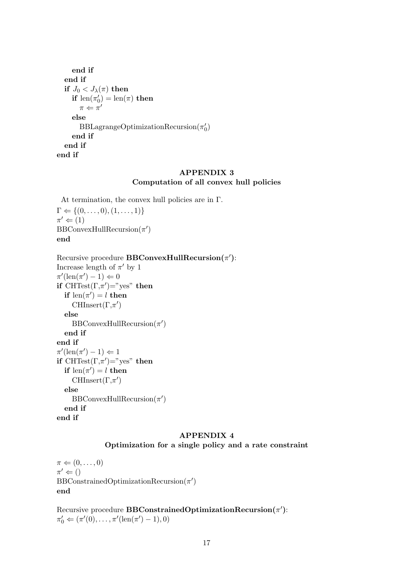```
end if
  end if
  if J_0 < J_\lambda(\pi) then
      if len(\pi'_0) = len(\pi) then
        \pi \Leftarrow \pi'else
        \text{BBLagrangeOptimizationRecursion}(\pi_0')end if
  end if
end if
```
# APPENDIX 3 Computation of all convex hull policies

At termination, the convex hull policies are in  $\Gamma$ .  $\Gamma \Leftarrow \{(0, \ldots, 0), (1, \ldots, 1)\}\$  $\pi' \Leftarrow (1)$  $\text{BBConvexHullRecursion}(\pi')$ end

Recursive procedure BBConvexHullRecursion $(\pi')$ : Increase length of  $\pi'$  by 1  $\pi'(\operatorname{len}(\pi')-1) \Leftarrow 0$ if  $\text{CHTest}(\Gamma, \pi') = "yes"$  then if  $len(\pi') = l$  then CHInsert $(\Gamma, \pi')$ else  $\text{BBConvexHullRecursion}(\pi')$ end if end if  $\pi'(\operatorname{len}(\pi')-1) \Leftarrow 1$ if  $\text{CHTest}(\Gamma, \pi') = "yes"$  then if  $len(\pi') = l$  then CHInsert $(\Gamma, \pi')$ else  $\text{BBConvexHullRecursion}(\pi')$ end if end if

#### APPENDIX 4

Optimization for a single policy and a rate constraint

 $\pi \leftarrow (0, \ldots, 0)$  $\pi' \Leftarrow ()$  $\text{BBConstrainedOptimizationRecursion}(\pi')$ end

 ${\rm Recuristic}$  procedure  ${\rm BBC on strainedOptimizationRecursion(\pi')$ :  $\pi'_0 \Leftarrow (\pi'(0), \ldots, \pi'(\text{len}(\pi')-1), 0)$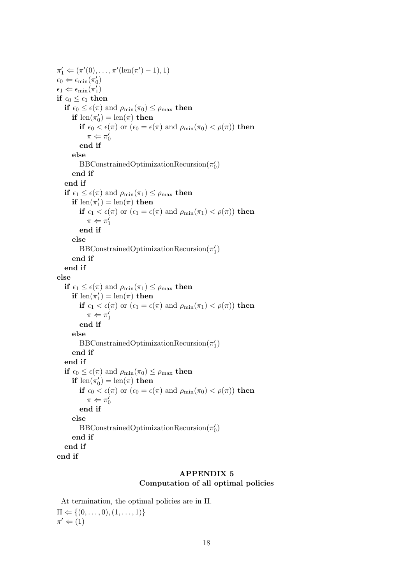$\pi'_1 \Leftarrow (\pi'(0), \ldots, \pi'(\text{len}(\pi')-1), 1)$  $\epsilon_0 \Leftarrow \epsilon_{\min}(\pi_0')$  $\epsilon_1 \Leftarrow \epsilon_{\min}(\pi_1')$ if  $\epsilon_0 \leq \epsilon_1$  then if  $\epsilon_0 \leq \epsilon(\pi)$  and  $\rho_{\min}(\pi_0) \leq \rho_{\max}$  then if  $\text{len}(\pi_0') = \text{len}(\pi)$  then if  $\epsilon_0 < \epsilon(\pi)$  or  $(\epsilon_0 = \epsilon(\pi)$  and  $\rho_{\min}(\pi_0) < \rho(\pi)$  then  $\pi \Leftarrow \pi_0'$ end if else  $\text{BBConstrainedOptimizationRecursion}(\pi_0')$ end if end if if  $\epsilon_1 \leq \epsilon(\pi)$  and  $\rho_{\min}(\pi_1) \leq \rho_{\max}$  then if  $len(\pi_1') = len(\pi)$  then if  $\epsilon_1 < \epsilon(\pi)$  or  $(\epsilon_1 = \epsilon(\pi)$  and  $\rho_{\min}(\pi_1) < \rho(\pi)$  then  $\pi \Leftarrow \pi_1'$ end if else  $\text{BBConstrainedOptimizationRecursion}(\pi_1')$ end if end if else if  $\epsilon_1 \leq \epsilon(\pi)$  and  $\rho_{\min}(\pi_1) \leq \rho_{\max}$  then if  $len(\pi_1') = len(\pi)$  then if  $\epsilon_1 < \epsilon(\pi)$  or  $(\epsilon_1 = \epsilon(\pi)$  and  $\rho_{\min}(\pi_1) < \rho(\pi)$  then  $\pi \Leftarrow \pi_1'$ end if else  $\text{BBConstrainedOptimizationRecursion}(\pi_1')$ end if end if if  $\epsilon_0 \leq \epsilon(\pi)$  and  $\rho_{\min}(\pi_0) \leq \rho_{\max}$  then if  $\text{len}(\pi_0') = \text{len}(\pi)$  then if  $\epsilon_0 < \epsilon(\pi)$  or  $(\epsilon_0 = \epsilon(\pi)$  and  $\rho_{\min}(\pi_0) < \rho(\pi)$  then  $\pi \Leftarrow \pi_0'$ end if else  $\text{BBConstrainedOptimizationRecursion}(\pi_0')$ end if end if end if

# APPENDIX 5 Computation of all optimal policies

At termination, the optimal policies are in Π.  $\Pi \Leftarrow \{(0, \ldots, 0), (1, \ldots, 1)\}\$  $\pi' \Leftarrow (1)$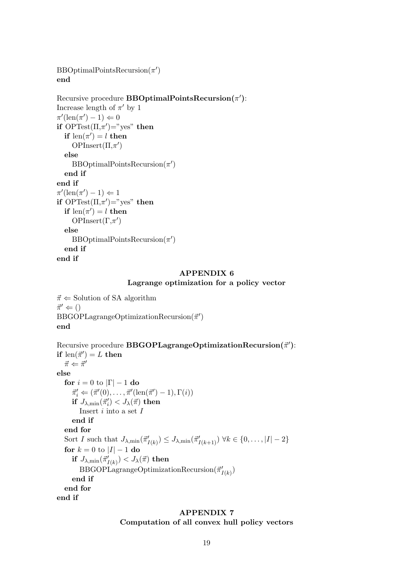```
\text{BBOptimalPointsRecursion}(\pi')end
```

```
Recursive procedure \mathbf{BBOptimalPointsRecursion}(\pi'):
Increase length of \pi' by 1
\pi'(\operatorname{len}(\pi')-1) \Leftarrow 0if \text{OPTest}(\Pi, \pi') = "yes" then
   if len(\pi') = l then
      OPInsert(\Pi,\pi')else
      \text{BBOptimalPoints}Recursion(\pi')end if
end if
\pi'(\operatorname{len}(\pi')-1) \Leftarrow 1if \text{OPTest}(\Pi, \pi') = "yes" then
   if len(\pi') = l then
      OPInsert(\Gamma, \pi')else
      \text{BBOptimalPoints}Recursion(\pi')end if
end if
```
# APPENDIX 6 Lagrange optimization for a policy vector

 $\vec{\pi} \Leftarrow$  Solution of SA algorithm  $\vec{\pi}' \Leftarrow ()$  $\text{BBGOPLagrangeOptimizationRecursion}(\vec{\pi}')$ end

 ${\rm Recursively\ procedure\ BBGOPLagrangeOptimizationRecursion(\vec{\pi}'):}$ if  $\operatorname{len}(\vec{\pi}') = L$  then  $\vec{\pi} \Leftarrow \vec{\pi}'$ else for  $i = 0$  to  $|\Gamma| - 1$  do  $\vec{\pi}'_i \Leftarrow (\vec{\pi}'(0), \dots, \vec{\pi}'(\operatorname{len}(\vec{\pi}') - 1), \Gamma(i))$ if  $J_{\lambda, \min}(\vec{\pi}_i') < J_{\lambda}(\vec{\pi})$  then Insert  $i$  into a set  $I$ end if end for Sort I such that  $J_{\lambda,\min}(\vec{\pi}'_{I(k)}) \leq J_{\lambda,\min}(\vec{\pi}'_{I(k+1)}) \ \forall k \in \{0,\dots,|I|-2\}$ for  $k = 0$  to  $|I| - 1$  do  $\displaystyle \textbf{if} \,\, J_{\lambda,\text{min}}(\vec{\pi}_{I(k)}') < J_{\lambda}(\vec{\pi})\,\, \textbf{then}$  $\text{BBGOPLagrangeOptimizationRecursion}(\vec{\pi}'_{I(k)})$ end if end for end if

# APPENDIX 7

Computation of all convex hull policy vectors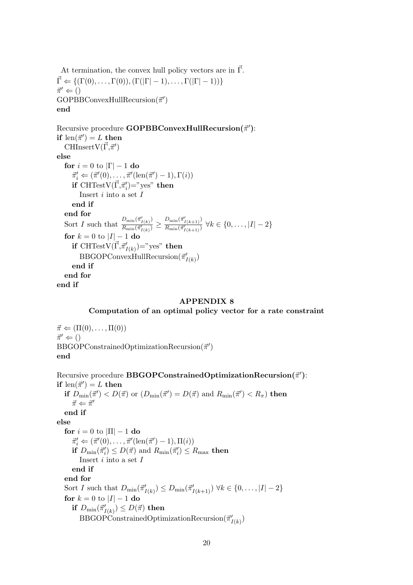At termination, the convex hull policy vectors are in  $\vec{\Gamma}$ .  $\vec{\Gamma} \Leftarrow \{(\Gamma(0), \ldots, \Gamma(0)), (\Gamma(|\Gamma|-1), \ldots, \Gamma(|\Gamma|-1))\}$  $\vec{\pi}' \Leftarrow ()$  $GOPBBConvexHullRecursion(\vec{\pi}')$ end

Recursive procedure GOPBBConvexHullRecursion $(\vec{\pi}')$ : if  $\operatorname{len}(\vec{\pi}') = L$  then  $\text{CHInsertV}(\vec{\Gamma},\vec{\pi}^{\prime})$ else for  $i = 0$  to  $|\Gamma| - 1$  do  $\vec{\pi}'_i \Leftarrow (\vec{\pi}'(0), \ldots, \vec{\pi}'(\operatorname{len}(\vec{\pi}') - 1), \Gamma(i))$  $\mathbf{if} \ \mathrm{CHTestV}(\vec{\Gamma},\vec{\pi}'_i) \text{=} "yes" \ \mathbf{then}$ Insert  $i$  into a set  $I$ end if end for Sort I such that  $\frac{D_{\min}(\vec{\pi}'_{I(k)})}{B - (\vec{\pi}') }$  $\frac{D_{\min}(\vec{\pi}^{\prime}_{I(k)})}{R_{\min}(\vec{\pi}^{\prime}_{I(k)})} \geq \frac{D_{\min}(\vec{\pi}^{\prime}_{I(k+1)})}{R_{\min}(\vec{\pi}^{\prime}_{I(k+1)})}$  $\frac{1-\min(\frac{m}{\ell}(k+1))}{R_{\min}(\vec{\pi}'_{I(k+1)})}$   $\forall k \in \{0, \ldots, |I|-2\}$ for  $k = 0$  to  $|I| - 1$  do  $\mathbf{if} \ \mathrm{CHTestV}(\vec{\Gamma},\vec{\pi}^{\prime}_{I(k)})$ ="yes"  $\mathbf{then}$  $\text{BBGOP}$ ConvexHullRecursion $(\vec{\pi}'_{I(k)})$ end if end for end if

#### APPENDIX 8

#### Computation of an optimal policy vector for a rate constraint

 $\vec{\pi} \Leftarrow (\Pi(0), \ldots, \Pi(0))$  $\vec{\pi}' \Leftarrow ()$  $\text{BBGOP} \text{Constrained} \text{Optimization} \text{Recursion}(\vec{\pi}')$ end

 ${\rm Recuristic}$  procedure  ${\rm BBGOP}$ ConstrainedOptimization ${\rm Recursion}(\vec{\pi}^{\prime})$ : if  $\operatorname{len}(\vec{\pi}') = L$  then if  $D_{\min}(\vec{\pi}') < D(\vec{\pi})$  or  $(D_{\min}(\vec{\pi}') = D(\vec{\pi})$  and  $R_{\min}(\vec{\pi}') < R_{\pi}$ ) then  $\vec{\pi} \Leftarrow \vec{\pi}'$ end if else for  $i = 0$  to  $|\Pi| - 1$  do  $\vec{\pi}'_i \Leftarrow (\vec{\pi}'(0), \dots, \vec{\pi}'(\text{len}(\vec{\pi}') - 1), \Pi(i))$ if  $D_{\min}(\vec{\pi}_i') \leq D(\vec{\pi})$  and  $R_{\min}(\vec{\pi}_i') \leq R_{\max}$  then Insert  $i$  into a set  $I$ end if end for Sort I such that  $D_{\min}(\vec{\pi}'_{I(k)}) \leq D_{\min}(\vec{\pi}'_{I(k+1)}) \ \forall k \in \{0, \ldots, |I|-2\}$ for  $k = 0$  to  $|I| - 1$  do  $\textbf{if}\,\, D_{\text{min}}(\vec{\pi}_{I(k)}') \leq D(\vec{\pi})\,\, \textbf{then}$  $\text{BBGOP}$ ConstrainedOptimizationRecursion $(\vec{\pi}^{\prime}_{I(k)})$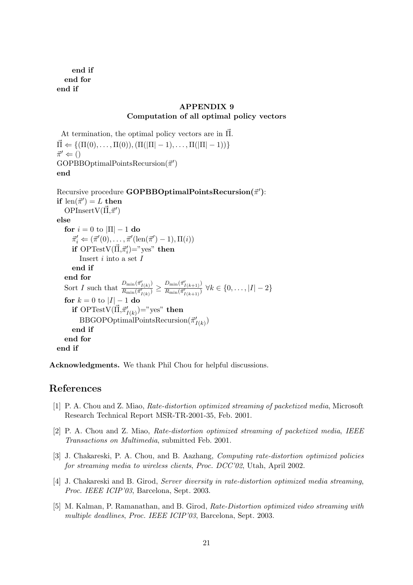end if end for end if

### APPENDIX 9 Computation of all optimal policy vectors

At termination, the optimal policy vectors are in  $\vec{\Pi}$ .  $\vec{\Pi} \Leftarrow \{(\Pi(0), \ldots, \Pi(0)), (\Pi(|\Pi| - 1), \ldots, \Pi(|\Pi| - 1))\}$  $\vec{\pi}' \Leftarrow ()$  $GOPBBOptimalPointsRecursion(\vec{\pi}')$ end

 $\text{Recursive procedure } \textbf{GOPBBOptimalPoints}$  Recursion( $\vec{\pi}'$ ): if  $\operatorname{len}(\vec{\pi}') = L$  then OPInsert $V(\vec{\Pi}, \vec{\pi}')$ else for  $i = 0$  to  $|\Pi| - 1$  do  $\vec{\pi}'_i \Leftarrow (\vec{\pi}'(0), \ldots, \vec{\pi}'(\operatorname{len}(\vec{\pi}') - 1), \Pi(i))$  $\mathbf{if} \ \mathrm{OPTestV}(\vec{\Pi}, \vec{\pi}_i')$ ="yes"  $\mathbf{then}$ Insert  $i$  into a set  $I$ end if end for Sort I such that  $\frac{D_{\min}(\vec{\pi}'_{I(k)})}{B - (\vec{\pi}') }$  $\frac{D_{\min}(\vec{\pi}'}{R_{\min}(\vec{\pi}'_{I(k)})} \geq \frac{D_{\min}(\vec{\pi}'_{I(k+1)})}{R_{\min}(\vec{\pi}'_{I(k+1)})}$  $\frac{1-\min(\frac{m}{l}(k+1))}{R_{\min}(\vec{\pi}'_{I(k+1)})}$   $\forall k \in \{0, \ldots, |I|-2\}$ for  $k = 0$  to  $|I| - 1$  do if  $\mathrm{OPTestV}(\vec{\Pi},\vec{\pi}^{\prime}_{I(k)})$ ="yes" then  $\text{BBGOPOptimalPoints} \text{Recursion}(\vec{\pi}'_{I(k)})$ end if end for end if

Acknowledgments. We thank Phil Chou for helpful discussions.

# References

- [1] P. A. Chou and Z. Miao, Rate-distortion optimized streaming of packetized media, Microsoft Research Technical Report MSR-TR-2001-35, Feb. 2001.
- [2] P. A. Chou and Z. Miao, Rate-distortion optimized streaming of packetized media, IEEE Transactions on Multimedia, submitted Feb. 2001.
- [3] J. Chakareski, P. A. Chou, and B. Aazhang, Computing rate-distortion optimized policies for streaming media to wireless clients, Proc. DCC'02, Utah, April 2002.
- [4] J. Chakareski and B. Girod, Server diversity in rate-distortion optimized media streaming, Proc. IEEE ICIP'03, Barcelona, Sept. 2003.
- [5] M. Kalman, P. Ramanathan, and B. Girod, Rate-Distortion optimized video streaming with multiple deadlines, Proc. IEEE ICIP'03, Barcelona, Sept. 2003.